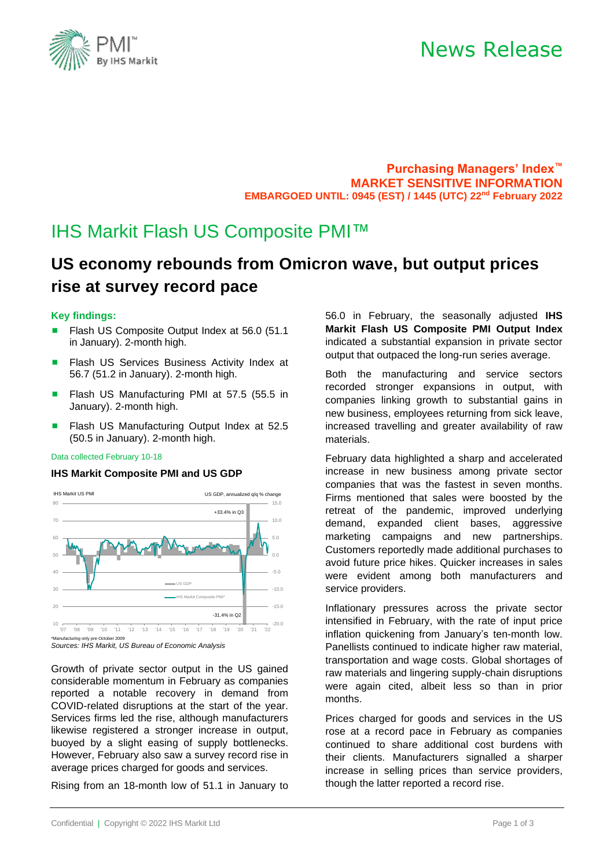# News Release



**Purchasing Managers' Index™ MARKET SENSITIVE INFORMATION EMBARGOED UNTIL: 0945 (EST) / 1445 (UTC) 22 nd February 2022**

# IHS Markit Flash US Composite PMI™

# **US economy rebounds from Omicron wave, but output prices rise at survey record pace**

## **Key findings:**

- Flash US Composite Output Index at 56.0 (51.1 in January). 2-month high.
- Flash US Services Business Activity Index at 56.7 (51.2 in January). 2-month high.
- Flash US Manufacturing PMI at 57.5 (55.5 in January). 2-month high.
- Flash US Manufacturing Output Index at 52.5 (50.5 in January). 2-month high.

### Data collected February 10-18

### **IHS Markit Composite PMI and US GDP**



<sup>\*</sup>Manufacturing only pre-October 2009 *Sources: IHS Markit, US Bureau of Economic Analysis*

Growth of private sector output in the US gained considerable momentum in February as companies reported a notable recovery in demand from COVID-related disruptions at the start of the year. Services firms led the rise, although manufacturers likewise registered a stronger increase in output, buoyed by a slight easing of supply bottlenecks. However, February also saw a survey record rise in average prices charged for goods and services.

Rising from an 18-month low of 51.1 in January to

56.0 in February, the seasonally adjusted **IHS Markit Flash US Composite PMI Output Index** indicated a substantial expansion in private sector output that outpaced the long-run series average.

Both the manufacturing and service sectors recorded stronger expansions in output, with companies linking growth to substantial gains in new business, employees returning from sick leave, increased travelling and greater availability of raw materials.

February data highlighted a sharp and accelerated increase in new business among private sector companies that was the fastest in seven months. Firms mentioned that sales were boosted by the retreat of the pandemic, improved underlying demand, expanded client bases, aggressive marketing campaigns and new partnerships. Customers reportedly made additional purchases to avoid future price hikes. Quicker increases in sales were evident among both manufacturers and service providers.

Inflationary pressures across the private sector intensified in February, with the rate of input price inflation quickening from January's ten-month low. Panellists continued to indicate higher raw material, transportation and wage costs. Global shortages of raw materials and lingering supply-chain disruptions were again cited, albeit less so than in prior months.

Prices charged for goods and services in the US rose at a record pace in February as companies continued to share additional cost burdens with their clients. Manufacturers signalled a sharper increase in selling prices than service providers, though the latter reported a record rise.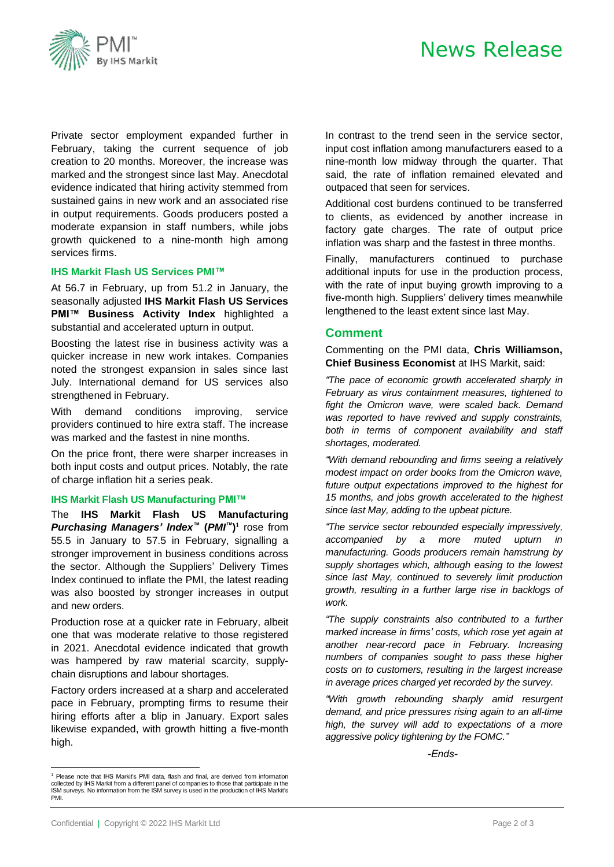

# News Release

Private sector employment expanded further in February, taking the current sequence of job creation to 20 months. Moreover, the increase was marked and the strongest since last May. Anecdotal evidence indicated that hiring activity stemmed from sustained gains in new work and an associated rise in output requirements. Goods producers posted a moderate expansion in staff numbers, while jobs growth quickened to a nine-month high among services firms.

### **IHS Markit Flash US Services PMI™**

At 56.7 in February, up from 51.2 in January, the seasonally adjusted **IHS Markit Flash US Services PMI™ Business Activity Index** highlighted a substantial and accelerated upturn in output.

Boosting the latest rise in business activity was a quicker increase in new work intakes. Companies noted the strongest expansion in sales since last July. International demand for US services also strengthened in February.

With demand conditions improving, service providers continued to hire extra staff. The increase was marked and the fastest in nine months.

On the price front, there were sharper increases in both input costs and output prices. Notably, the rate of charge inflation hit a series peak.

#### **IHS Markit Flash US Manufacturing PMI™**

The **IHS Markit Flash US Manufacturing** *Purchasing Managers' Index™* **(***PMI ™***) 1** rose from 55.5 in January to 57.5 in February, signalling a stronger improvement in business conditions across the sector. Although the Suppliers' Delivery Times Index continued to inflate the PMI, the latest reading was also boosted by stronger increases in output and new orders.

Production rose at a quicker rate in February, albeit one that was moderate relative to those registered in 2021. Anecdotal evidence indicated that growth was hampered by raw material scarcity, supplychain disruptions and labour shortages.

Factory orders increased at a sharp and accelerated pace in February, prompting firms to resume their hiring efforts after a blip in January. Export sales likewise expanded, with growth hitting a five-month high.

<sup>1</sup> Please note that IHS Markit's PMI data, flash and final, are derived from information<br>collected by IHS Markit from a different panel of companies to those that participate in the<br>ISM surveys. No information from the IS PMI.

In contrast to the trend seen in the service sector, input cost inflation among manufacturers eased to a nine-month low midway through the quarter. That said, the rate of inflation remained elevated and outpaced that seen for services.

Additional cost burdens continued to be transferred to clients, as evidenced by another increase in factory gate charges. The rate of output price inflation was sharp and the fastest in three months.

Finally, manufacturers continued to purchase additional inputs for use in the production process, with the rate of input buying growth improving to a five-month high. Suppliers' delivery times meanwhile lengthened to the least extent since last May.

## **Comment**

Commenting on the PMI data, **Chris Williamson, Chief Business Economist** at IHS Markit, said:

*"The pace of economic growth accelerated sharply in February as virus containment measures, tightened to fight the Omicron wave, were scaled back. Demand was reported to have revived and supply constraints, both in terms of component availability and staff shortages, moderated.*

*"With demand rebounding and firms seeing a relatively modest impact on order books from the Omicron wave, future output expectations improved to the highest for 15 months, and jobs growth accelerated to the highest since last May, adding to the upbeat picture.*

*"The service sector rebounded especially impressively, accompanied by a more muted upturn in manufacturing. Goods producers remain hamstrung by supply shortages which, although easing to the lowest since last May, continued to severely limit production growth, resulting in a further large rise in backlogs of work.*

*"The supply constraints also contributed to a further marked increase in firms' costs, which rose yet again at another near-record pace in February. Increasing numbers of companies sought to pass these higher costs on to customers, resulting in the largest increase in average prices charged yet recorded by the survey.* 

*"With growth rebounding sharply amid resurgent demand, and price pressures rising again to an all-time high, the survey will add to expectations of a more aggressive policy tightening by the FOMC."*

 *-Ends-*